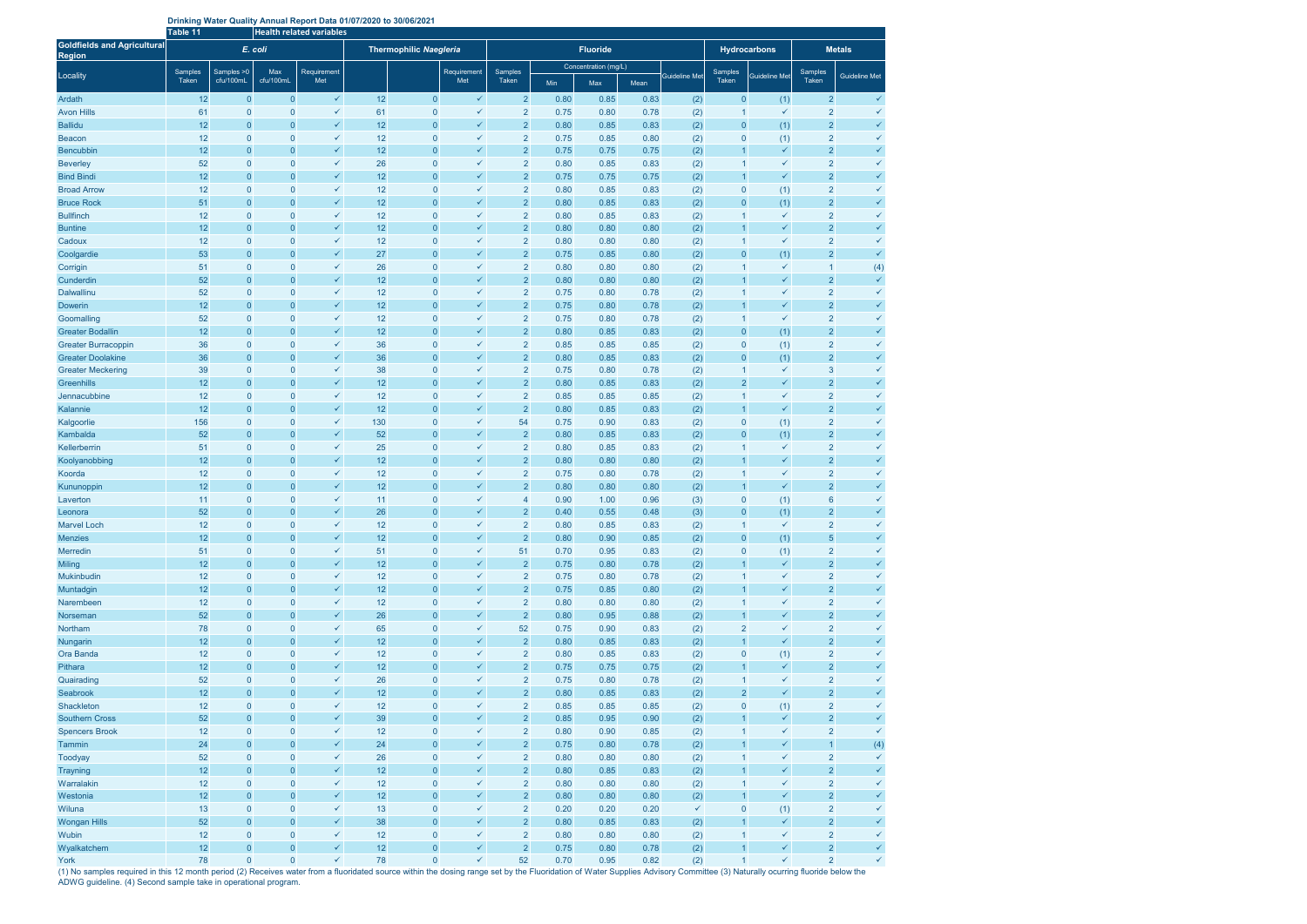| Drinking Water Quality Annual Report Data 01/07/2020 to 30/06/2021 |  |  |
|--------------------------------------------------------------------|--|--|
|--------------------------------------------------------------------|--|--|

|                                                     | Table 11         |                             |                         | <b>Health related variables</b> |          |                                  |                              |                                  |                      |              |              |                      |                  |                              |                                  |                              |
|-----------------------------------------------------|------------------|-----------------------------|-------------------------|---------------------------------|----------|----------------------------------|------------------------------|----------------------------------|----------------------|--------------|--------------|----------------------|------------------|------------------------------|----------------------------------|------------------------------|
| <b>Goldfields and Agricultural</b><br><b>Region</b> | E. coli          |                             |                         | Thermophilic Naegleria          |          |                                  |                              |                                  | <b>Fluoride</b>      |              |              | <b>Hydrocarbons</b>  | <b>Metals</b>    |                              |                                  |                              |
|                                                     |                  |                             |                         |                                 |          |                                  |                              |                                  | Concentration (mg/L) |              |              |                      |                  |                              |                                  |                              |
| Locality                                            | Samples<br>Taken | Samples > 0<br>cfu/100mL    | Max<br>cfu/100mL        | Requirement<br>Met              |          |                                  | Requirement<br>Met           | Samples<br>Taken                 | Min                  | Max          | Mean         | <b>Guideline Met</b> | Samples<br>Taken | <b>Guideline Met</b>         | <b>Samples</b><br>Taken          | <b>Guideline Met</b>         |
| Ardath                                              | 12               | $\mathbf{0}$                | $\mathbf{0}$            | $\checkmark$                    | 12       | $\mathbf{0}$                     | $\checkmark$                 | $\overline{2}$                   | 0.80                 | 0.85         | 0.83         | (2)                  | $\mathbf{0}$     | (1)                          | $\overline{2}$                   | $\checkmark$                 |
| <b>Avon Hills</b>                                   | 61               | $\mathbf 0$                 | $\mathbf 0$             | ✓                               | 61       | $\overline{0}$                   | $\checkmark$                 | $\overline{2}$                   | 0.75                 | 0.80         | 0.78         | (2)                  |                  | $\checkmark$                 | $\overline{2}$                   | $\checkmark$                 |
| <b>Ballidu</b>                                      | 12               | $\mathbf{0}$                | $\overline{0}$          | $\checkmark$                    | 12       | $\overline{0}$                   | ✓                            | $\overline{2}$                   | 0.80                 | 0.85         | 0.83         | (2)                  | $\boldsymbol{0}$ | (1)                          | $\overline{2}$                   | $\checkmark$                 |
| <b>Beacon</b>                                       | 12               | $\mathbf 0$                 | $\mathbf{0}$            | ✓                               | 12       | $\overline{0}$                   | $\checkmark$                 | $\overline{2}$                   | 0.75                 | 0.85         | 0.80         | (2)                  | $\mathbf{0}$     | (1)                          | $\overline{2}$                   | $\checkmark$                 |
| <b>Bencubbin</b>                                    | 12               | $\mathbf{0}$                | $\overline{0}$          | $\checkmark$                    | 12       | $\overline{0}$                   | $\checkmark$                 | $\overline{2}$                   | 0.75                 | 0.75         | 0.75         | (2)                  |                  | $\checkmark$                 | $\overline{2}$                   | $\checkmark$                 |
| <b>Beverley</b>                                     | 52               | $\mathbf 0$                 | $\mathbf 0$             | $\checkmark$                    | 26       | $\overline{0}$                   | $\checkmark$                 | $\overline{2}$                   | 0.80                 | 0.85         | 0.83         | (2)                  |                  | $\checkmark$                 | $\overline{2}$                   | $\checkmark$                 |
| <b>Bind Bindi</b>                                   | 12               | $\Omega$                    | $\overline{0}$          | $\checkmark$                    | 12       | $\overline{0}$                   | $\checkmark$                 | $\overline{2}$                   | 0.75                 | 0.75         | 0.75         | (2)                  |                  | $\checkmark$                 | $\overline{2}$                   | $\checkmark$                 |
| <b>Broad Arrow</b>                                  | 12               | $\overline{0}$              | $\mathbf 0$             | ✓                               | 12       | $\overline{0}$                   | $\checkmark$                 | $\overline{2}$                   | 0.80                 | 0.85         | 0.83         | (2)                  | $\pmb{0}$        | (1)                          | $\overline{2}$                   | $\checkmark$                 |
| <b>Bruce Rock</b>                                   | 51               | $\mathbf{0}$                | $\mathbf{0}$            | $\checkmark$                    | 12       | $\mathbf{0}$                     | $\checkmark$                 | $\overline{2}$                   | 0.80                 | 0.85         | 0.83         | (2)                  | $\mathbf{0}$     | (1)                          | $\overline{2}$                   | $\checkmark$                 |
| <b>Bullfinch</b>                                    | 12               | $\mathbf{0}$                | $\mathbf 0$             | $\checkmark$                    | 12       | $\overline{0}$                   | $\checkmark$                 | $\overline{2}$                   | 0.80                 | 0.85         | 0.83         | (2)                  | 1                | $\checkmark$                 | $\overline{2}$                   | $\checkmark$                 |
| <b>Buntine</b>                                      | 12               | $\mathbf{0}$                | $\mathbf{0}$            | $\checkmark$                    | 12       | $\mathbf{0}$                     | $\checkmark$                 | $\overline{2}$                   | 0.80                 | 0.80         | 0.80         | (2)                  | $\mathbf{1}$     | $\checkmark$                 | $\overline{2}$                   | $\checkmark$                 |
| Cadoux                                              | 12               | $\mathbf{0}$                | $\mathbf{0}$            | $\checkmark$                    | 12       | $\overline{0}$                   | $\checkmark$                 | $\overline{2}$                   | 0.80                 | 0.80         | 0.80         | (2)                  | 1                | $\checkmark$                 | $\overline{2}$                   | $\checkmark$                 |
| Coolgardie                                          | 53               | $\mathbf{0}$                | $\mathbf{0}$            | $\checkmark$                    | 27       | $\overline{0}$                   | $\checkmark$                 | $\overline{2}$                   | 0.75                 | 0.85         | 0.80         | (2)                  | $\overline{0}$   | (1)                          | $\overline{2}$                   | $\checkmark$                 |
| Corrigin                                            | 51               | $\mathbf 0$                 | $\mathbf 0$             | $\checkmark$                    | 26       | $\overline{0}$                   | $\checkmark$                 | $\overline{2}$                   | 0.80                 | 0.80         | 0.80         | (2)                  |                  | $\checkmark$                 |                                  | (4)                          |
| Cunderdin                                           | 52               | $\mathbf{0}$                | $\mathbf{0}$            | $\checkmark$                    | 12       | $\overline{0}$                   | $\checkmark$                 | $\overline{2}$                   | 0.80                 | 0.80         | 0.80         | (2)                  | 1                | $\checkmark$                 | $\overline{2}$                   | $\checkmark$                 |
| <b>Dalwallinu</b>                                   | 52               | $\mathbf 0$                 | $\overline{0}$          | ✓                               | 12       | $\overline{0}$                   | $\checkmark$                 | $\overline{2}$                   | 0.75                 | 0.80         | 0.78         | (2)                  |                  | $\checkmark$                 | $\overline{2}$                   | $\checkmark$                 |
| Dowerin                                             | 12               | $\mathbf{0}$                | $\mathbf{0}$            | $\checkmark$                    | 12       | $\overline{0}$                   | $\checkmark$                 | $\overline{2}$                   | 0.75                 | 0.80         | 0.78         | (2)                  | 1                | $\checkmark$                 | $\overline{2}$                   | $\checkmark$                 |
| Goomalling                                          | 52               | $\mathbf 0$                 | $\mathbf 0$             | $\checkmark$                    | 12       | $\overline{0}$                   | $\checkmark$                 | $\overline{2}$                   | 0.75                 | 0.80         | 0.78         | (2)                  |                  | $\checkmark$                 | $\overline{2}$                   | $\checkmark$                 |
| <b>Greater Bodallin</b>                             | 12               | $\mathbf{0}$                | $\mathbf{0}$            | $\checkmark$                    | 12       | $\overline{0}$                   | $\checkmark$                 | $\overline{2}$                   | 0.80                 | 0.85         | 0.83         | (2)                  | $\overline{0}$   | (1)                          | $\overline{2}$                   | $\checkmark$                 |
| <b>Greater Burracoppin</b>                          | 36               | $\mathbf 0$                 | $\mathbf 0$             | $\checkmark$                    | 36       | $\overline{0}$                   | $\checkmark$                 | $\overline{2}$                   | 0.85                 | 0.85         | 0.85         | (2)                  | $\mathbf{0}$     | (1)                          | $\overline{2}$                   | $\checkmark$                 |
| <b>Greater Doolakine</b>                            | 36               | $\mathbf{0}$                | $\overline{0}$          | $\checkmark$                    | 36       | $\pmb{0}$                        | $\checkmark$                 | $\overline{2}$                   | 0.80                 | 0.85         | 0.83         | (2)                  | $\boldsymbol{0}$ | (1)                          | $\overline{2}$                   | $\checkmark$                 |
| <b>Greater Meckering</b>                            | 39               | $\mathbf 0$                 | $\mathbf 0$             | ✓                               | 38       | $\overline{0}$                   | $\checkmark$                 | $\overline{2}$                   | 0.75                 | 0.80         | 0.78         | (2)                  |                  | $\checkmark$                 | 3                                | $\checkmark$                 |
| <b>Greenhills</b>                                   | 12               | $\mathbf{0}$                | $\mathbf{0}$            | $\checkmark$                    | 12       | $\overline{0}$                   | $\checkmark$                 | $\overline{2}$                   | 0.80                 | 0.85         | 0.83         | (2)                  | $\overline{2}$   | $\checkmark$                 | $\overline{2}$                   | $\checkmark$                 |
| Jennacubbine                                        | 12               | $\mathbf 0$                 | $\mathbf 0$             | ✓                               | 12       | $\overline{0}$                   | $\checkmark$                 | $\overline{2}$                   | 0.85                 | 0.85         | 0.85         | (2)                  |                  | $\checkmark$                 | $\overline{2}$                   | $\checkmark$                 |
| Kalannie                                            | 12               | $\mathbf{0}$                | $\mathbf{0}$            | $\checkmark$                    | 12       | $\overline{0}$                   | $\checkmark$                 | $\overline{a}$                   | 0.80                 | 0.85         | 0.83         | (2)                  |                  | $\checkmark$                 | $\overline{2}$                   | $\checkmark$                 |
| Kalgoorlie                                          | 156              | $\mathbf 0$                 | $\mathbf 0$             | $\checkmark$                    | 130      | $\overline{0}$                   | $\checkmark$                 | 54                               | 0.75                 | 0.90         | 0.83         | (2)                  | $\pmb{0}$        | (1)                          | $\overline{2}$                   | $\checkmark$                 |
| Kambalda                                            | 52               | $\mathbf{0}$                | $\mathbf{0}$            | $\checkmark$                    | 52       | $\overline{0}$                   | $\checkmark$                 | $\overline{2}$                   | 0.80                 | 0.85         | 0.83         | (2)                  | $\boldsymbol{0}$ | (1)                          | $\overline{2}$                   | $\checkmark$                 |
| Kellerberrin                                        | 51               | $\mathbf 0$                 | $\mathbf 0$             | ✓<br>$\checkmark$               | 25       | $\overline{0}$                   | $\checkmark$                 | $\overline{2}$                   | 0.80                 | 0.85         | 0.83         | (2)                  |                  | $\checkmark$<br>$\checkmark$ | $\overline{2}$                   | $\checkmark$<br>$\checkmark$ |
| Koolyanobbing                                       | 12               | $\mathbf{0}$                | $\overline{0}$          | ✓                               | 12       | $\overline{0}$                   | $\checkmark$                 | $\overline{2}$                   | 0.80                 | 0.80         | 0.80         | (2)                  |                  | $\checkmark$                 | $\overline{2}$                   | $\checkmark$                 |
| Koorda                                              | 12<br>12         | $\mathbf 0$<br>$\mathbf{0}$ | $\mathbf 0$<br>$\Omega$ | $\checkmark$                    | 12<br>12 | $\overline{0}$<br>$\overline{0}$ | $\checkmark$<br>$\checkmark$ | $\overline{2}$<br>$\overline{2}$ | 0.75<br>0.80         | 0.80<br>0.80 | 0.78<br>0.80 | (2)                  |                  | $\checkmark$                 | $\overline{2}$<br>$\overline{2}$ | $\checkmark$                 |
| Kununoppin<br>Laverton                              | 11               | $\overline{0}$              | $\mathbf 0$             | $\checkmark$                    | 11       | $\overline{0}$                   | $\checkmark$                 | $\overline{4}$                   | 0.90                 | 1.00         | 0.96         | (2)                  | $\mathbf 0$      |                              | $6\phantom{1}6$                  | $\checkmark$                 |
| Leonora                                             | 52               | $\mathbf{0}$                | $\mathbf{0}$            | $\checkmark$                    | 26       | $\overline{0}$                   | $\checkmark$                 | $\overline{2}$                   | 0.40                 | 0.55         | 0.48         | (3)<br>(3)           | $\mathbf{0}$     | (1)<br>(1)                   | $\overline{2}$                   | $\checkmark$                 |
| <b>Marvel Loch</b>                                  | 12               | $\mathbf 0$                 | $\overline{0}$          | ✓                               | 12       | $\overline{0}$                   | $\checkmark$                 | $\overline{2}$                   | 0.80                 | 0.85         | 0.83         | (2)                  | $\mathbf 1$      | $\checkmark$                 | $\overline{2}$                   |                              |
| <b>Menzies</b>                                      | 12               | $\mathbf{0}$                | $\mathbf{0}$            | $\checkmark$                    | 12       | $\mathbf{0}$                     | $\checkmark$                 | $\overline{2}$                   | 0.80                 | 0.90         | 0.85         | (2)                  | $\overline{0}$   | (1)                          | 5                                | $\checkmark$                 |
| <b>Merredin</b>                                     | 51               | $\mathbf 0$                 | $\mathbf 0$             | ✓                               | 51       | $\mathbf{0}$                     | $\checkmark$                 | 51                               | 0.70                 | 0.95         | 0.83         | (2)                  | $\boldsymbol{0}$ | (1)                          | $\overline{2}$                   | $\checkmark$                 |
| <b>Miling</b>                                       | 12               | $\mathbf{0}$                | $\overline{0}$          | $\checkmark$                    | 12       | $\pmb{0}$                        | $\checkmark$                 | $\overline{2}$                   | 0.75                 | 0.80         | 0.78         | (2)                  | $\mathbf{1}$     | $\checkmark$                 | $\overline{2}$                   | $\checkmark$                 |
| Mukinbudin                                          | 12               | $\mathbf 0$                 | $\mathbf 0$             | ✓                               | 12       | $\mathbf{0}$                     | $\checkmark$                 | $\overline{2}$                   | 0.75                 | 0.80         | 0.78         | (2)                  | 1                | $\checkmark$                 | $\overline{2}$                   | $\checkmark$                 |
| Muntadgin                                           | 12               | $\mathbf{0}$                | $\overline{0}$          | $\checkmark$                    | 12       | $\pmb{0}$                        | $\checkmark$                 | $\overline{2}$                   | 0.75                 | 0.85         | 0.80         | (2)                  | $\mathbf{1}$     | $\checkmark$                 | $\overline{2}$                   | $\checkmark$                 |
| Narembeen                                           | 12               | $\mathbf 0$                 | $\mathbf{0}$            | $\checkmark$                    | 12       | $\overline{0}$                   | ✓                            | $\overline{2}$                   | 0.80                 | 0.80         | 0.80         | (2)                  | 1                | $\checkmark$                 | $\overline{2}$                   | $\checkmark$                 |
| Norseman                                            | 52               | $\mathbf{0}$                | $\overline{0}$          | $\checkmark$                    | 26       | $\boldsymbol{0}$                 | $\checkmark$                 | $\overline{2}$                   | 0.80                 | 0.95         | 0.88         | (2)                  | $\mathbf{1}$     | $\checkmark$                 | $\overline{2}$                   | $\checkmark$                 |
| Northam                                             | 78               | $\mathbf 0$                 | $\mathbf 0$             | $\checkmark$                    | 65       | $\mathbf{0}$                     | $\checkmark$                 | 52                               | 0.75                 | 0.90         | 0.83         | (2)                  | $\overline{c}$   | $\checkmark$                 | $\overline{2}$                   | $\checkmark$                 |
| Nungarin                                            | 12               | $\mathbf{0}$                | $\overline{0}$          | $\checkmark$                    | 12       | $\pmb{0}$                        | $\checkmark$                 | $\overline{2}$                   | 0.80                 | 0.85         | 0.83         | (2)                  | $\overline{1}$   | $\checkmark$                 | $\overline{2}$                   | $\checkmark$                 |
| Ora Banda                                           | 12               | $\mathbf 0$                 | $\overline{0}$          | $\checkmark$                    | 12       | $\mathbf{0}$                     | $\checkmark$                 | $\overline{2}$                   | 0.80                 | 0.85         | 0.83         | (2)                  | $\bf{0}$         | (1)                          | $\overline{2}$                   | $\checkmark$                 |
| Pithara                                             | 12               | $\mathbf{0}$                | $\overline{0}$          | $\checkmark$                    | 12       | $\pmb{0}$                        | $\checkmark$                 | $\overline{2}$                   | 0.75                 | 0.75         | 0.75         | (2)                  |                  | $\checkmark$                 | $\overline{2}$                   | $\checkmark$                 |
| Quairading                                          | 52               | $\mathbf 0$                 | $\mathbf{0}$            | $\checkmark$                    | 26       | $\mathbf{0}$                     | $\checkmark$                 | $\overline{2}$                   | 0.75                 | 0.80         | 0.78         | (2)                  | 1                | $\checkmark$                 | $\overline{2}$                   | $\checkmark$                 |
| Seabrook                                            | 12               | $\mathbf{0}$                | $\overline{0}$          | $\checkmark$                    | 12       | $\pmb{0}$                        | $\checkmark$                 | $\overline{2}$                   | 0.80                 | 0.85         | 0.83         | (2)                  | $\overline{2}$   | $\checkmark$                 | $\overline{2}$                   | $\checkmark$                 |
| Shackleton                                          | 12               | $\mathbf 0$                 | $\overline{0}$          | $\checkmark$                    | 12       | $\boldsymbol{0}$                 | $\checkmark$                 | $\overline{a}$                   | 0.85                 | 0.85         | 0.85         | (2)                  | $\pmb{0}$        | (1)                          | $\overline{2}$                   | $\checkmark$                 |
| <b>Southern Cross</b>                               | 52               | $\mathbf{0}$                | $\overline{0}$          | $\checkmark$                    | 39       | $\boldsymbol{0}$                 | $\checkmark$                 | $\overline{2}$                   | 0.85                 | 0.95         | 0.90         | (2)                  |                  | $\checkmark$                 | $\overline{2}$                   | $\checkmark$                 |
| <b>Spencers Brook</b>                               | 12               | $\mathbf 0$                 | $\overline{0}$          | $\checkmark$                    | 12       | $\mathbf{0}$                     | $\checkmark$                 | $\overline{2}$                   | 0.80                 | 0.90         | 0.85         | (2)                  | $\mathbf{1}$     | $\checkmark$                 | $\overline{2}$                   | $\checkmark$                 |
| Tammin                                              | 24               | $\mathbf{0}$                | $\overline{0}$          | $\checkmark$                    | 24       | $\overline{0}$                   | $\checkmark$                 | $\overline{2}$                   | 0.75                 | 0.80         | 0.78         | (2)                  |                  | $\checkmark$                 |                                  | (4)                          |
| Toodyay                                             | 52               | $\mathbf 0$                 | $\mathbf 0$             | $\checkmark$                    | 26       | $\overline{0}$                   | $\checkmark$                 | $\overline{2}$                   | 0.80                 | 0.80         | 0.80         | (2)                  |                  | $\checkmark$                 | $\overline{2}$                   | $\checkmark$                 |
| <b>Trayning</b>                                     | 12               | $\mathbf{0}$                | $\mathbf{0}$            | $\checkmark$                    | 12       | $\overline{0}$                   | $\checkmark$                 | $\overline{2}$                   | 0.80                 | 0.85         | 0.83         | (2)                  |                  | $\checkmark$                 | $\overline{2}$                   | $\checkmark$                 |
| Warralakin                                          | 12               | $\bf{0}$                    | $\pmb{0}$               | ✓                               | 12       | $\overline{0}$                   | $\checkmark$                 | $\overline{2}$                   | 0.80                 | 0.80         | 0.80         | (2)                  | 1                | $\checkmark$                 | $\overline{2}$                   | $\checkmark$                 |
| Westonia                                            | 12               | $\mathbf{0}$                | $\mathbf{0}$            | $\checkmark$                    | 12       | $\overline{0}$                   | $\checkmark$                 | $\overline{c}$                   | 0.80                 | 0.80         | 0.80         | (2)                  |                  | $\checkmark$                 | $\overline{2}$                   | $\checkmark$                 |
| Wiluna                                              | 13               | $\mathbf 0$                 | $\mathbf 0$             | $\checkmark$                    | 13       | $\mathbf 0$                      | $\checkmark$                 | $\overline{a}$                   | 0.20                 | 0.20         | 0.20         | $\checkmark$         | $\mathbf 0$      | (1)                          | $\overline{2}$                   | $\checkmark$                 |
| <b>Wongan Hills</b>                                 | 52               | $\mathbf{0}$                | $\mathbf{0}$            | $\checkmark$                    | 38       | $\overline{0}$                   | $\checkmark$                 | $\overline{2}$                   | 0.80                 | 0.85         | 0.83         | (2)                  |                  | $\checkmark$                 | $\overline{2}$                   | $\checkmark$                 |
| <b>Wubin</b>                                        | 12               | $\mathbf 0$                 | $\mathbf 0$             | ✓                               | 12       | $\overline{0}$                   | $\checkmark$                 | $\overline{2}$                   | 0.80                 | 0.80         | 0.80         | (2)                  | $\mathbf 1$      | $\checkmark$                 | $\overline{2}$                   | $\checkmark$                 |
| Wyalkatchem                                         | 12               | $\mathbf{0}$                | $\overline{0}$          | $\checkmark$                    | 12       | $\pmb{0}$                        | $\checkmark$                 | $\overline{2}$                   | 0.75                 | 0.80         | 0.78         | (2)                  | $\mathbf{1}$     | $\checkmark$                 | $\overline{2}$                   | $\checkmark$                 |
| York                                                | 78               | $\mathbf 0$                 | $\overline{0}$          | $\checkmark$                    | 78       | $\pmb{0}$                        | $\checkmark$                 | 52                               | 0.70                 | 0.95         | 0.82         | (2)                  | $\mathbf{1}$     | $\checkmark$                 | $\overline{2}$                   | $\checkmark$                 |

(1) No samples required in this 12 month period (2) Receives water from a fluoridated source within the dosing range set by the Fluoridation of Water Supplies Advisory Committee (3) Naturally ocurring fluoride below the ADWG guideline. (4) Second sample take in operational program.